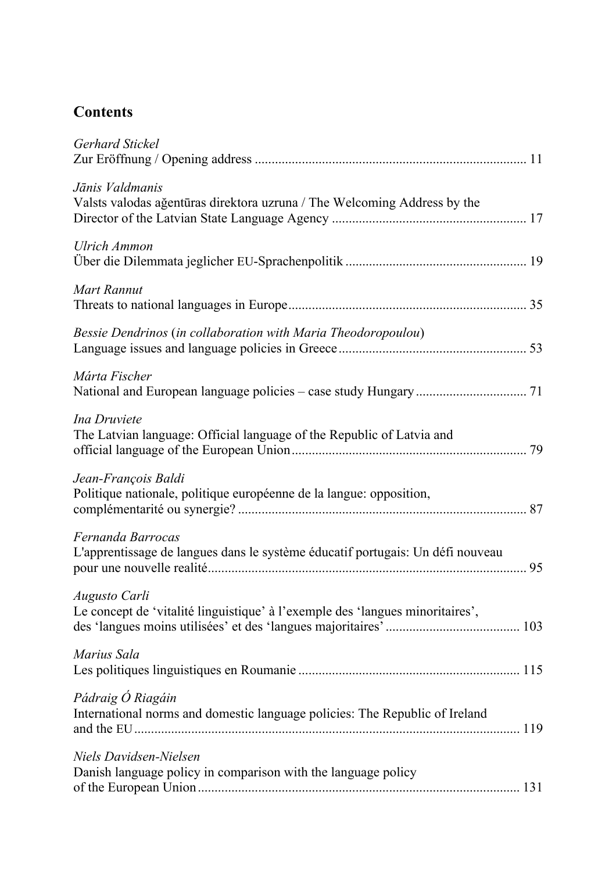## **Contents**

| Gerhard Stickel                                                                                     |  |
|-----------------------------------------------------------------------------------------------------|--|
| Jānis Valdmanis<br>Valsts valodas ağentūras direktora uzruna / The Welcoming Address by the         |  |
| Ulrich Ammon                                                                                        |  |
| Mart Rannut                                                                                         |  |
| Bessie Dendrinos (in collaboration with Maria Theodoropoulou)                                       |  |
| Márta Fischer                                                                                       |  |
| Ina Druviete<br>The Latvian language: Official language of the Republic of Latvia and               |  |
| Jean-François Baldi<br>Politique nationale, politique européenne de la langue: opposition,          |  |
| Fernanda Barrocas<br>L'apprentissage de langues dans le système éducatif portugais: Un défi nouveau |  |
| Augusto Carli<br>Le concept de 'vitalité linguistique' à l'exemple des 'langues minoritaires',      |  |
| Marius Sala                                                                                         |  |
| Pádraig Ó Riagáin<br>International norms and domestic language policies: The Republic of Ireland    |  |
| Niels Davidsen-Nielsen<br>Danish language policy in comparison with the language policy             |  |